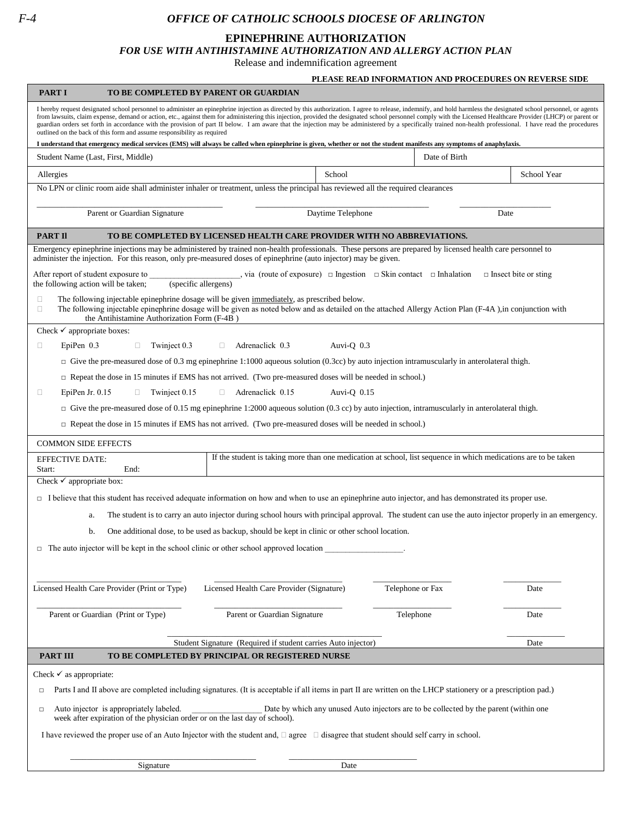## *F-4 OFFICE OF CATHOLIC SCHOOLS DIOCESE OF ARLINGTON*

| <b>EPINEPHRINE AUTHORIZATION</b><br><b>FOR USE WITH ANTIHISTAMINE AUTHORIZATION AND ALLERGY ACTION PLAN</b>                                                                                                                                                                                                                                                                                                                                                                                                                                                                                                                                                                                                                     |                                                               |                                                                                                                 |                                                        |
|---------------------------------------------------------------------------------------------------------------------------------------------------------------------------------------------------------------------------------------------------------------------------------------------------------------------------------------------------------------------------------------------------------------------------------------------------------------------------------------------------------------------------------------------------------------------------------------------------------------------------------------------------------------------------------------------------------------------------------|---------------------------------------------------------------|-----------------------------------------------------------------------------------------------------------------|--------------------------------------------------------|
|                                                                                                                                                                                                                                                                                                                                                                                                                                                                                                                                                                                                                                                                                                                                 | Release and indemnification agreement                         |                                                                                                                 |                                                        |
|                                                                                                                                                                                                                                                                                                                                                                                                                                                                                                                                                                                                                                                                                                                                 |                                                               |                                                                                                                 | PLEASE READ INFORMATION AND PROCEDURES ON REVERSE SIDE |
| <b>PART I</b><br>TO BE COMPLETED BY PARENT OR GUARDIAN                                                                                                                                                                                                                                                                                                                                                                                                                                                                                                                                                                                                                                                                          |                                                               |                                                                                                                 |                                                        |
| I hereby request designated school personnel to administer an epinephrine injection as directed by this authorization. I agree to release, indemnify, and hold harmless the designated school personnel, or agents<br>from lawsuits, claim expense, demand or action, etc., against them for administering this injection, provided the designated school personnel comply with the Licensed Healthcare Provider (LHCP) or parent or<br>guardian orders set forth in accordance with the provision of part II below. I am aware that the injection may be administered by a specifically trained non-health professional. I have read the procedures<br>outlined on the back of this form and assume responsibility as required |                                                               |                                                                                                                 |                                                        |
| I understand that emergency medical services (EMS) will always be called when epinephrine is given, whether or not the student manifests any symptoms of anaphylaxis.                                                                                                                                                                                                                                                                                                                                                                                                                                                                                                                                                           |                                                               |                                                                                                                 |                                                        |
| Student Name (Last, First, Middle)                                                                                                                                                                                                                                                                                                                                                                                                                                                                                                                                                                                                                                                                                              |                                                               | Date of Birth                                                                                                   |                                                        |
| Allergies                                                                                                                                                                                                                                                                                                                                                                                                                                                                                                                                                                                                                                                                                                                       | School                                                        |                                                                                                                 | School Year                                            |
| No LPN or clinic room aide shall administer inhaler or treatment, unless the principal has reviewed all the required clearances                                                                                                                                                                                                                                                                                                                                                                                                                                                                                                                                                                                                 |                                                               |                                                                                                                 |                                                        |
| Parent or Guardian Signature                                                                                                                                                                                                                                                                                                                                                                                                                                                                                                                                                                                                                                                                                                    | Daytime Telephone                                             |                                                                                                                 | Date                                                   |
| <b>PART II</b><br>TO BE COMPLETED BY LICENSED HEALTH CARE PROVIDER WITH NO ABBREVIATIONS.                                                                                                                                                                                                                                                                                                                                                                                                                                                                                                                                                                                                                                       |                                                               |                                                                                                                 |                                                        |
| Emergency epinephrine injections may be administered by trained non-health professionals. These persons are prepared by licensed health care personnel to                                                                                                                                                                                                                                                                                                                                                                                                                                                                                                                                                                       |                                                               |                                                                                                                 |                                                        |
| administer the injection. For this reason, only pre-measured doses of epinephrine (auto injector) may be given.<br>After report of student exposure to<br>the following action will be taken;<br>(specific allergens)                                                                                                                                                                                                                                                                                                                                                                                                                                                                                                           |                                                               | $\ldots$ via (route of exposure) $\Box$ Ingestion $\Box$ Skin contact $\Box$ Inhalation                         | $\Box$ Insect bite or sting                            |
| The following injectable epinephrine dosage will be given immediately, as prescribed below.<br>□<br>The following injectable epinephrine dosage will be given as noted below and as detailed on the attached Allergy Action Plan (F-4A), in conjunction with<br>$\Box$<br>the Antihistamine Authorization Form (F-4B)                                                                                                                                                                                                                                                                                                                                                                                                           |                                                               |                                                                                                                 |                                                        |
| Check $\checkmark$ appropriate boxes:                                                                                                                                                                                                                                                                                                                                                                                                                                                                                                                                                                                                                                                                                           |                                                               |                                                                                                                 |                                                        |
| EpiPen 0.3<br>Adrenaclick 0.3<br>$\Box$<br>Twinject 0.3<br>$\Box$<br>Auvi-Q $0.3$<br>$\Box$                                                                                                                                                                                                                                                                                                                                                                                                                                                                                                                                                                                                                                     |                                                               |                                                                                                                 |                                                        |
| $\Box$ Give the pre-measured dose of 0.3 mg epinephrine 1:1000 aqueous solution (0.3cc) by auto injection intramuscularly in anterolateral thigh.                                                                                                                                                                                                                                                                                                                                                                                                                                                                                                                                                                               |                                                               |                                                                                                                 |                                                        |
| $\Box$ Repeat the dose in 15 minutes if EMS has not arrived. (Two pre-measured doses will be needed in school.)                                                                                                                                                                                                                                                                                                                                                                                                                                                                                                                                                                                                                 |                                                               |                                                                                                                 |                                                        |
| EpiPen Jr. $0.15$<br>Twinject 0.15<br>$\Box$<br>0<br>$\Box$                                                                                                                                                                                                                                                                                                                                                                                                                                                                                                                                                                                                                                                                     | Adrenaclick 0.15<br>Auvi-Q $0.15$                             |                                                                                                                 |                                                        |
| $\Box$ Give the pre-measured dose of 0.15 mg epinephrine 1:2000 aqueous solution (0.3 cc) by auto injection, intramuscularly in anterolateral thigh.                                                                                                                                                                                                                                                                                                                                                                                                                                                                                                                                                                            |                                                               |                                                                                                                 |                                                        |
| $\Box$ Repeat the dose in 15 minutes if EMS has not arrived. (Two pre-measured doses will be needed in school.)                                                                                                                                                                                                                                                                                                                                                                                                                                                                                                                                                                                                                 |                                                               |                                                                                                                 |                                                        |
| <b>COMMON SIDE EFFECTS</b>                                                                                                                                                                                                                                                                                                                                                                                                                                                                                                                                                                                                                                                                                                      |                                                               |                                                                                                                 |                                                        |
| <b>EFFECTIVE DATE:</b><br>Start:<br>End:                                                                                                                                                                                                                                                                                                                                                                                                                                                                                                                                                                                                                                                                                        |                                                               | If the student is taking more than one medication at school, list sequence in which medications are to be taken |                                                        |
| Check $\checkmark$ appropriate box:                                                                                                                                                                                                                                                                                                                                                                                                                                                                                                                                                                                                                                                                                             |                                                               |                                                                                                                 |                                                        |
| $\Box$ I believe that this student has received adequate information on how and when to use an epinephrine auto injector, and has demonstrated its proper use.                                                                                                                                                                                                                                                                                                                                                                                                                                                                                                                                                                  |                                                               |                                                                                                                 |                                                        |
| The student is to carry an auto injector during school hours with principal approval. The student can use the auto injector properly in an emergency.<br>a.                                                                                                                                                                                                                                                                                                                                                                                                                                                                                                                                                                     |                                                               |                                                                                                                 |                                                        |
| One additional dose, to be used as backup, should be kept in clinic or other school location.<br>b.                                                                                                                                                                                                                                                                                                                                                                                                                                                                                                                                                                                                                             |                                                               |                                                                                                                 |                                                        |
| $\Box$ The auto injector will be kept in the school clinic or other school approved location                                                                                                                                                                                                                                                                                                                                                                                                                                                                                                                                                                                                                                    |                                                               |                                                                                                                 |                                                        |
|                                                                                                                                                                                                                                                                                                                                                                                                                                                                                                                                                                                                                                                                                                                                 |                                                               |                                                                                                                 |                                                        |
| Licensed Health Care Provider (Print or Type)                                                                                                                                                                                                                                                                                                                                                                                                                                                                                                                                                                                                                                                                                   | Licensed Health Care Provider (Signature)                     | Telephone or Fax                                                                                                | Date                                                   |
| Parent or Guardian (Print or Type)                                                                                                                                                                                                                                                                                                                                                                                                                                                                                                                                                                                                                                                                                              | Parent or Guardian Signature                                  | Telephone                                                                                                       | Date                                                   |
|                                                                                                                                                                                                                                                                                                                                                                                                                                                                                                                                                                                                                                                                                                                                 | Student Signature (Required if student carries Auto injector) |                                                                                                                 | Date                                                   |
| <b>PART III</b><br>TO BE COMPLETED BY PRINCIPAL OR REGISTERED NURSE                                                                                                                                                                                                                                                                                                                                                                                                                                                                                                                                                                                                                                                             |                                                               |                                                                                                                 |                                                        |
| Check $\checkmark$ as appropriate:                                                                                                                                                                                                                                                                                                                                                                                                                                                                                                                                                                                                                                                                                              |                                                               |                                                                                                                 |                                                        |
| Parts I and II above are completed including signatures. (It is acceptable if all items in part II are written on the LHCP stationery or a prescription pad.)<br>□                                                                                                                                                                                                                                                                                                                                                                                                                                                                                                                                                              |                                                               |                                                                                                                 |                                                        |
| Auto injector is appropriately labeled.<br>$\Box$                                                                                                                                                                                                                                                                                                                                                                                                                                                                                                                                                                                                                                                                               |                                                               | Date by which any unused Auto injectors are to be collected by the parent (within one                           |                                                        |

week after expiration of the physician order or on the last day of school). I have reviewed the proper use of an Auto Injector with the student and,  $\Box$  agree  $\Box$  disagree that student should self carry in school.

\_\_\_\_\_\_\_\_\_\_\_\_\_\_\_\_\_\_\_\_\_\_\_\_\_\_\_\_\_\_\_\_\_\_\_\_\_\_\_\_\_\_\_\_\_ \_\_\_\_\_\_\_\_\_\_\_\_\_\_\_\_\_\_\_\_\_\_\_\_\_\_\_\_\_\_\_

Signature Date